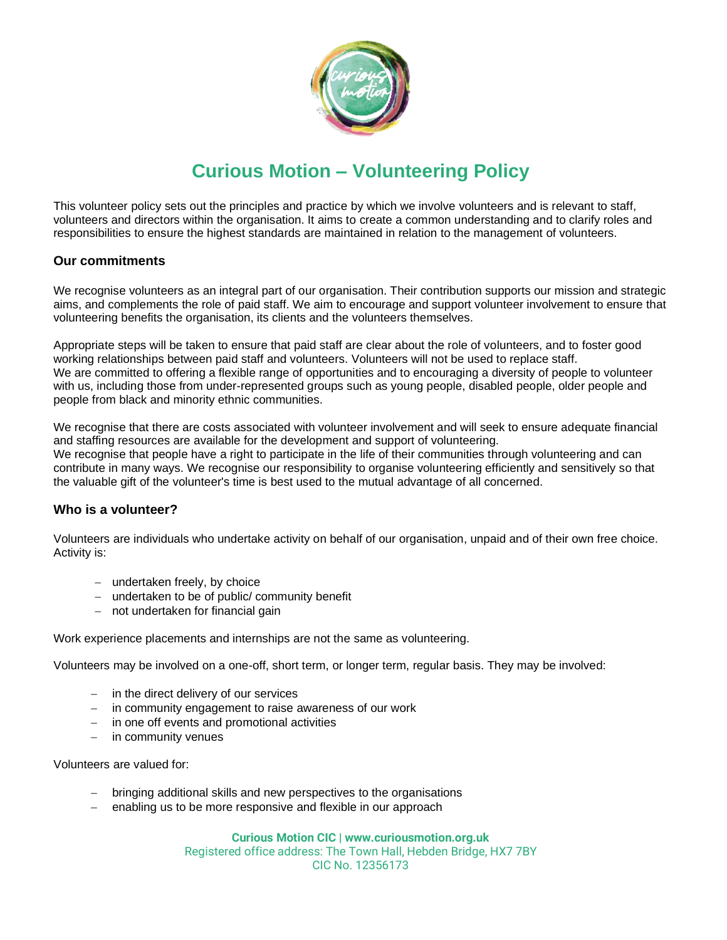

# **Curious Motion – Volunteering Policy**

This volunteer policy sets out the principles and practice by which we involve volunteers and is relevant to staff, volunteers and directors within the organisation. It aims to create a common understanding and to clarify roles and responsibilities to ensure the highest standards are maintained in relation to the management of volunteers.

# **Our commitments**

We recognise volunteers as an integral part of our organisation. Their contribution supports our mission and strategic aims, and complements the role of paid staff. We aim to encourage and support volunteer involvement to ensure that volunteering benefits the organisation, its clients and the volunteers themselves.

Appropriate steps will be taken to ensure that paid staff are clear about the role of volunteers, and to foster good working relationships between paid staff and volunteers. Volunteers will not be used to replace staff. We are committed to offering a flexible range of opportunities and to encouraging a diversity of people to volunteer with us, including those from under-represented groups such as young people, disabled people, older people and people from black and minority ethnic communities.

We recognise that there are costs associated with volunteer involvement and will seek to ensure adequate financial and staffing resources are available for the development and support of volunteering. We recognise that people have a right to participate in the life of their communities through volunteering and can contribute in many ways. We recognise our responsibility to organise volunteering efficiently and sensitively so that the valuable gift of the volunteer's time is best used to the mutual advantage of all concerned.

# **Who is a volunteer?**

Volunteers are individuals who undertake activity on behalf of our organisation, unpaid and of their own free choice. Activity is:

- − undertaken freely, by choice
- − undertaken to be of public/ community benefit
- − not undertaken for financial gain

Work experience placements and internships are not the same as volunteering.

Volunteers may be involved on a one-off, short term, or longer term, regular basis. They may be involved:

- − in the direct delivery of our services
- − in community engagement to raise awareness of our work
- − in one off events and promotional activities
- − in community venues

Volunteers are valued for:

- − bringing additional skills and new perspectives to the organisations
- − enabling us to be more responsive and flexible in our approach

**Curious Motion CIC | www.curiousmotion.org.uk**

Registered office address: The Town Hall, Hebden Bridge, HX7 7BY CIC No. 12356173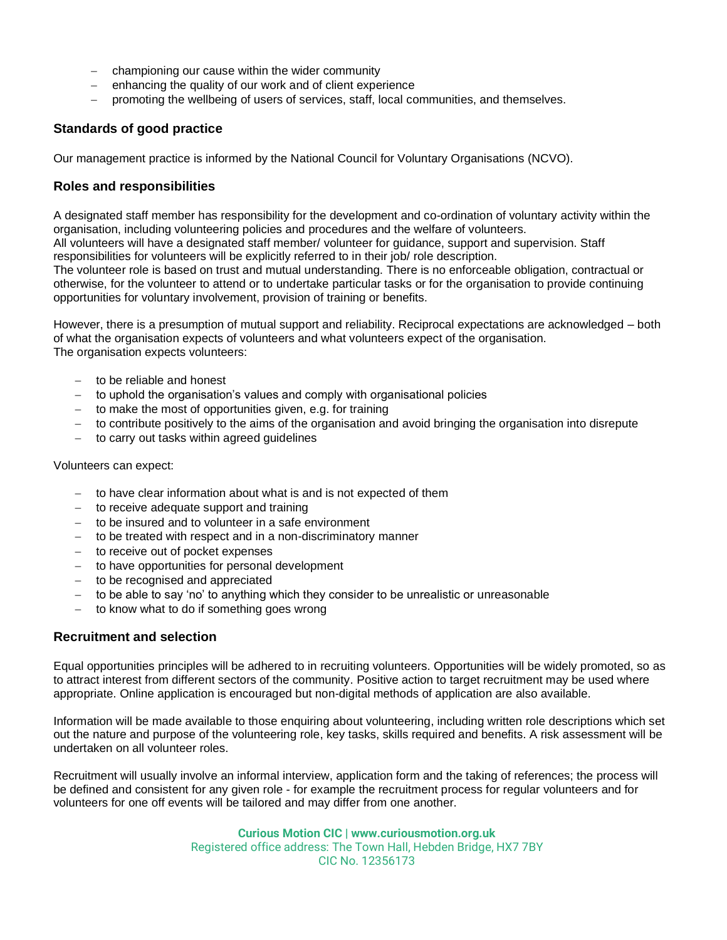- − championing our cause within the wider community
- − enhancing the quality of our work and of client experience
- − promoting the wellbeing of users of services, staff, local communities, and themselves.

# **Standards of good practice**

Our management practice is informed by the National Council for Voluntary Organisations (NCVO).

# **Roles and responsibilities**

A designated staff member has responsibility for the development and co-ordination of voluntary activity within the organisation, including volunteering policies and procedures and the welfare of volunteers.

All volunteers will have a designated staff member/ volunteer for guidance, support and supervision. Staff responsibilities for volunteers will be explicitly referred to in their job/ role description.

The volunteer role is based on trust and mutual understanding. There is no enforceable obligation, contractual or otherwise, for the volunteer to attend or to undertake particular tasks or for the organisation to provide continuing opportunities for voluntary involvement, provision of training or benefits.

However, there is a presumption of mutual support and reliability. Reciprocal expectations are acknowledged – both of what the organisation expects of volunteers and what volunteers expect of the organisation. The organisation expects volunteers:

- − to be reliable and honest
- to uphold the organisation's values and comply with organisational policies
- − to make the most of opportunities given, e.g. for training
- − to contribute positively to the aims of the organisation and avoid bringing the organisation into disrepute
- − to carry out tasks within agreed guidelines

#### Volunteers can expect:

- − to have clear information about what is and is not expected of them
- to receive adequate support and training
- − to be insured and to volunteer in a safe environment
- − to be treated with respect and in a non-discriminatory manner
- to receive out of pocket expenses
- − to have opportunities for personal development
- − to be recognised and appreciated
- to be able to say 'no' to anything which they consider to be unrealistic or unreasonable
- to know what to do if something goes wrong

# **Recruitment and selection**

Equal opportunities principles will be adhered to in recruiting volunteers. Opportunities will be widely promoted, so as to attract interest from different sectors of the community. Positive action to target recruitment may be used where appropriate. Online application is encouraged but non-digital methods of application are also available.

Information will be made available to those enquiring about volunteering, including written role descriptions which set out the nature and purpose of the volunteering role, key tasks, skills required and benefits. A risk assessment will be undertaken on all volunteer roles.

Recruitment will usually involve an informal interview, application form and the taking of references; the process will be defined and consistent for any given role - for example the recruitment process for regular volunteers and for volunteers for one off events will be tailored and may differ from one another.

> **Curious Motion CIC | www.curiousmotion.org.uk** Registered office address: The Town Hall, Hebden Bridge, HX7 7BY CIC No. 12356173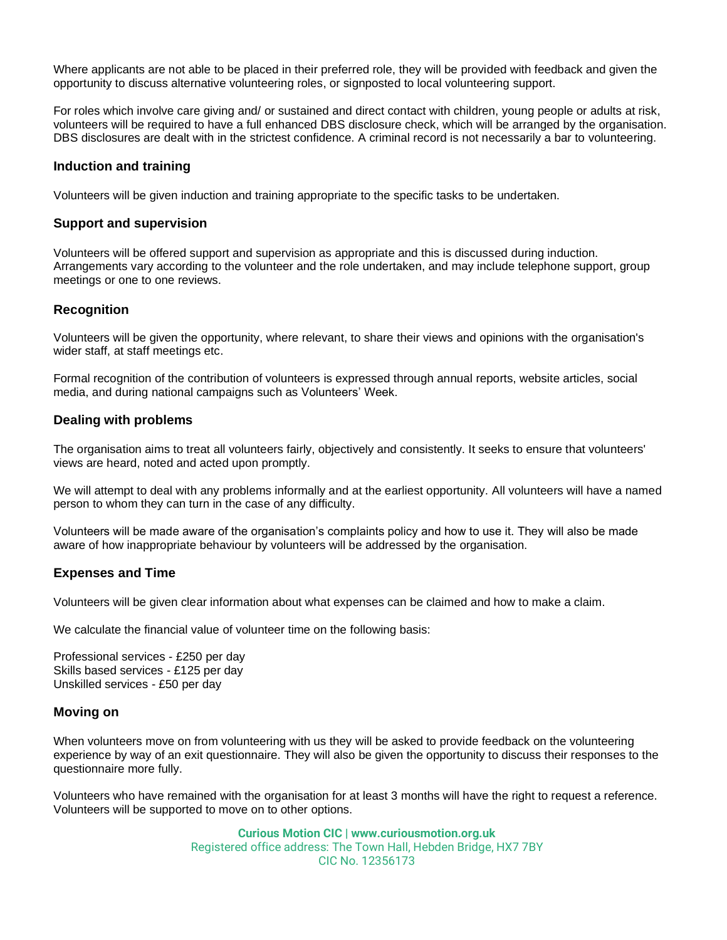Where applicants are not able to be placed in their preferred role, they will be provided with feedback and given the opportunity to discuss alternative volunteering roles, or signposted to local volunteering support.

For roles which involve care giving and/ or sustained and direct contact with children, young people or adults at risk, volunteers will be required to have a full enhanced DBS disclosure check, which will be arranged by the organisation. DBS disclosures are dealt with in the strictest confidence. A criminal record is not necessarily a bar to volunteering.

#### **Induction and training**

Volunteers will be given induction and training appropriate to the specific tasks to be undertaken.

#### **Support and supervision**

Volunteers will be offered support and supervision as appropriate and this is discussed during induction. Arrangements vary according to the volunteer and the role undertaken, and may include telephone support, group meetings or one to one reviews.

#### **Recognition**

Volunteers will be given the opportunity, where relevant, to share their views and opinions with the organisation's wider staff, at staff meetings etc.

Formal recognition of the contribution of volunteers is expressed through annual reports, website articles, social media, and during national campaigns such as Volunteers' Week.

#### **Dealing with problems**

The organisation aims to treat all volunteers fairly, objectively and consistently. It seeks to ensure that volunteers' views are heard, noted and acted upon promptly.

We will attempt to deal with any problems informally and at the earliest opportunity. All volunteers will have a named person to whom they can turn in the case of any difficulty.

Volunteers will be made aware of the organisation's complaints policy and how to use it. They will also be made aware of how inappropriate behaviour by volunteers will be addressed by the organisation.

#### **Expenses and Time**

Volunteers will be given clear information about what expenses can be claimed and how to make a claim.

We calculate the financial value of volunteer time on the following basis:

Professional services - £250 per day Skills based services - £125 per day Unskilled services - £50 per day

#### **Moving on**

When volunteers move on from volunteering with us they will be asked to provide feedback on the volunteering experience by way of an exit questionnaire. They will also be given the opportunity to discuss their responses to the questionnaire more fully.

Volunteers who have remained with the organisation for at least 3 months will have the right to request a reference. Volunteers will be supported to move on to other options.

> **Curious Motion CIC | www.curiousmotion.org.uk** Registered office address: The Town Hall, Hebden Bridge, HX7 7BY CIC No. 12356173